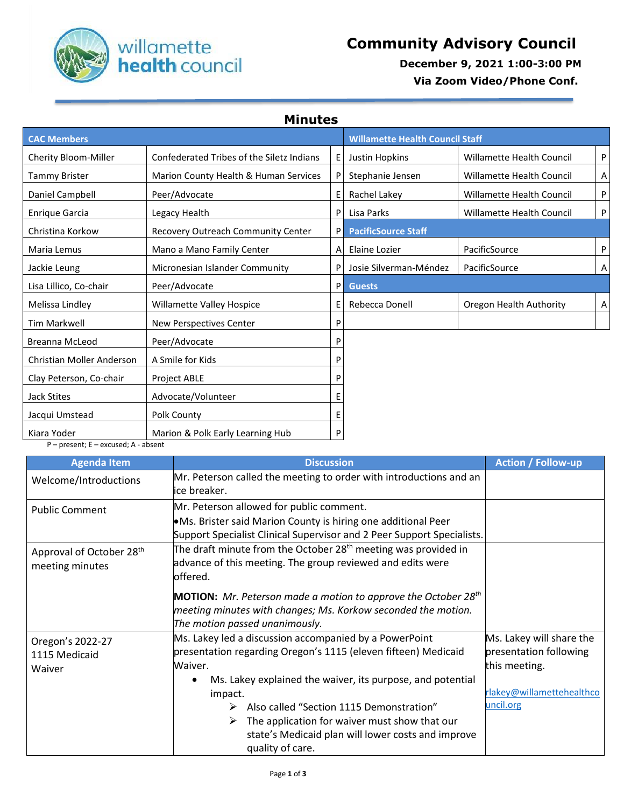

## **December 9, 2021 1:00-3:00 PM**

 **Via Zoom Video/Phone Conf.**

**Minutes**

| <b>CAC Members</b>        |                                           | <b>Willamette Health Council Staff</b> |                            |                                  |   |
|---------------------------|-------------------------------------------|----------------------------------------|----------------------------|----------------------------------|---|
| Cherity Bloom-Miller      | Confederated Tribes of the Siletz Indians | Е                                      | Justin Hopkins             | Willamette Health Council        | P |
| <b>Tammy Brister</b>      | Marion County Health & Human Services     | P                                      | Stephanie Jensen           | <b>Willamette Health Council</b> | Α |
| Daniel Campbell           | Peer/Advocate                             | Е                                      | Rachel Lakey               | Willamette Health Council        | P |
| <b>Enrique Garcia</b>     | Legacy Health                             | P                                      | Lisa Parks                 | Willamette Health Council        | P |
| Christina Korkow          | Recovery Outreach Community Center        | P                                      | <b>PacificSource Staff</b> |                                  |   |
| Maria Lemus               | Mano a Mano Family Center                 | A                                      | Elaine Lozier              | PacificSource                    | P |
| Jackie Leung              | Micronesian Islander Community            | P                                      | Josie Silverman-Méndez     | PacificSource                    | Α |
| Lisa Lillico, Co-chair    | Peer/Advocate                             | P                                      | <b>Guests</b>              |                                  |   |
| Melissa Lindley           | Willamette Valley Hospice                 | E.                                     | Rebecca Donell             | Oregon Health Authority          | Α |
| Tim Markwell              | New Perspectives Center                   | P                                      |                            |                                  |   |
| <b>Breanna McLeod</b>     | Peer/Advocate                             | P                                      |                            |                                  |   |
| Christian Moller Anderson | A Smile for Kids                          | P                                      |                            |                                  |   |
| Clay Peterson, Co-chair   | Project ABLE                              | P                                      |                            |                                  |   |
| Jack Stites               | Advocate/Volunteer                        | Е                                      |                            |                                  |   |
| Jacqui Umstead            | Polk County                               | E                                      |                            |                                  |   |
| Kiara Yoder               | Marion & Polk Early Learning Hub          | P                                      |                            |                                  |   |

P – present; E – excused; A - absent

| <b>Agenda Item</b>                                      | <b>Discussion</b>                                                                                                                                                                                              | <b>Action / Follow-up</b>              |
|---------------------------------------------------------|----------------------------------------------------------------------------------------------------------------------------------------------------------------------------------------------------------------|----------------------------------------|
| Welcome/Introductions                                   | Mr. Peterson called the meeting to order with introductions and an<br>ice breaker.                                                                                                                             |                                        |
| <b>Public Comment</b>                                   | Mr. Peterson allowed for public comment.<br>•Ms. Brister said Marion County is hiring one additional Peer<br>Support Specialist Clinical Supervisor and 2 Peer Support Specialists.                            |                                        |
| Approval of October 28 <sup>th</sup><br>meeting minutes | The draft minute from the October 28 <sup>th</sup> meeting was provided in<br>advance of this meeting. The group reviewed and edits were<br>loffered.                                                          |                                        |
|                                                         | <b>MOTION:</b> Mr. Peterson made a motion to approve the October 28 <sup>th</sup><br>meeting minutes with changes; Ms. Korkow seconded the motion.<br>The motion passed unanimously.                           |                                        |
| Oregon's 2022-27<br>1115 Medicaid<br>Waiver             | Ms. Lakey led a discussion accompanied by a PowerPoint<br>presentation regarding Oregon's 1115 (eleven fifteen) Medicaid<br>Waiver.<br>Ms. Lakey explained the waiver, its purpose, and potential<br>$\bullet$ |                                        |
|                                                         | impact.<br>Also called "Section 1115 Demonstration"<br>$\triangleright$<br>The application for waiver must show that our<br>➤<br>state's Medicaid plan will lower costs and improve<br>quality of care.        | rlakey@willamettehealthco<br>uncil.org |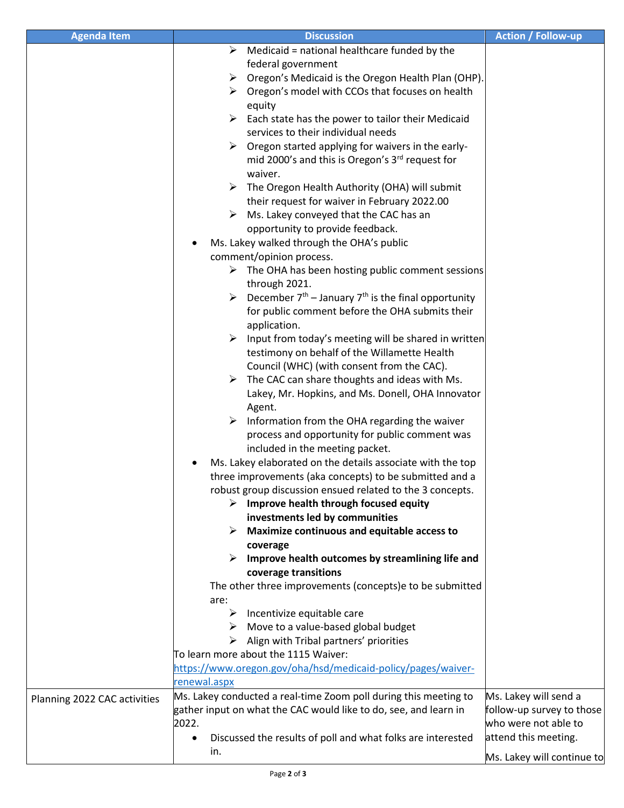| <b>Agenda Item</b>           | <b>Discussion</b>                                                        | <b>Action / Follow-up</b>  |
|------------------------------|--------------------------------------------------------------------------|----------------------------|
|                              | Medicaid = national healthcare funded by the<br>➤                        |                            |
|                              | federal government                                                       |                            |
|                              | Oregon's Medicaid is the Oregon Health Plan (OHP).<br>➤                  |                            |
|                              | $\triangleright$ Oregon's model with CCOs that focuses on health         |                            |
|                              | equity                                                                   |                            |
|                              | Each state has the power to tailor their Medicaid                        |                            |
|                              | services to their individual needs                                       |                            |
|                              | Oregon started applying for waivers in the early-                        |                            |
|                              | mid 2000's and this is Oregon's 3 <sup>rd</sup> request for              |                            |
|                              | waiver.                                                                  |                            |
|                              | The Oregon Health Authority (OHA) will submit<br>➤                       |                            |
|                              | their request for waiver in February 2022.00                             |                            |
|                              | Ms. Lakey conveyed that the CAC has an                                   |                            |
|                              | opportunity to provide feedback.                                         |                            |
|                              | Ms. Lakey walked through the OHA's public                                |                            |
|                              |                                                                          |                            |
|                              | comment/opinion process.                                                 |                            |
|                              | $\triangleright$ The OHA has been hosting public comment sessions        |                            |
|                              | through 2021.                                                            |                            |
|                              | December $7th$ – January $7th$ is the final opportunity<br>➤             |                            |
|                              | for public comment before the OHA submits their                          |                            |
|                              | application.                                                             |                            |
|                              | Input from today's meeting will be shared in written                     |                            |
|                              | testimony on behalf of the Willamette Health                             |                            |
|                              | Council (WHC) (with consent from the CAC).                               |                            |
|                              | The CAC can share thoughts and ideas with Ms.<br>➤                       |                            |
|                              | Lakey, Mr. Hopkins, and Ms. Donell, OHA Innovator                        |                            |
|                              | Agent.                                                                   |                            |
|                              | Information from the OHA regarding the waiver<br>➤                       |                            |
|                              | process and opportunity for public comment was                           |                            |
|                              | included in the meeting packet.                                          |                            |
|                              | Ms. Lakey elaborated on the details associate with the top               |                            |
|                              | three improvements (aka concepts) to be submitted and a                  |                            |
|                              | robust group discussion ensued related to the 3 concepts.                |                            |
|                              | Improve health through focused equity<br>➤                               |                            |
|                              | investments led by communities                                           |                            |
|                              | <b>Maximize continuous and equitable access to</b>                       |                            |
|                              | coverage                                                                 |                            |
|                              | Improve health outcomes by streamlining life and                         |                            |
|                              | coverage transitions                                                     |                            |
|                              | The other three improvements (concepts)e to be submitted                 |                            |
|                              | are:                                                                     |                            |
|                              | $\triangleright$ Incentivize equitable care                              |                            |
|                              | $\triangleright$ Move to a value-based global budget                     |                            |
|                              | Align with Tribal partners' priorities<br>➤                              |                            |
|                              | To learn more about the 1115 Waiver:                                     |                            |
|                              | https://www.oregon.gov/oha/hsd/medicaid-policy/pages/waiver-             |                            |
|                              | renewal.aspx                                                             |                            |
| Planning 2022 CAC activities | Ms. Lakey conducted a real-time Zoom poll during this meeting to         | Ms. Lakey will send a      |
|                              | gather input on what the CAC would like to do, see, and learn in         | follow-up survey to those  |
|                              | 2022.                                                                    | who were not able to       |
|                              | Discussed the results of poll and what folks are interested<br>$\bullet$ | attend this meeting.       |
|                              | in.                                                                      | Ms. Lakey will continue to |